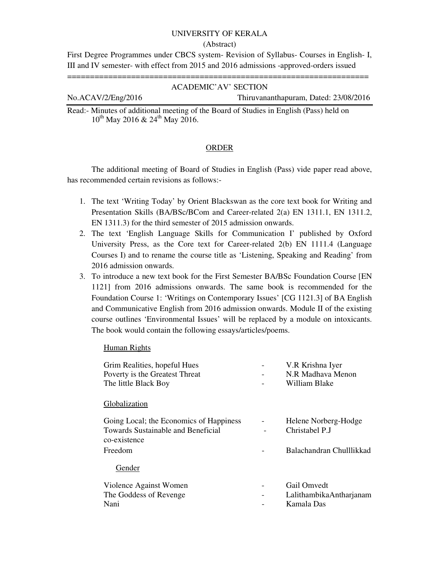#### UNIVERSITY OF KERALA

#### (Abstract)

First Degree Programmes under CBCS system- Revision of Syllabus- Courses in English- I, III and IV semester- with effect from 2015 and 2016 admissions -approved-orders issued

==================================================================

#### ACADEMIC'AV' SECTION

# No.ACAV/2/Eng/2016 Thiruvananthapuram, Dated: 23/08/2016

Read:- Minutes of additional meeting of the Board of Studies in English (Pass) held on  $10^{th}$  May 2016 & 24<sup>th</sup> May 2016.

#### ORDER

The additional meeting of Board of Studies in English (Pass) vide paper read above, has recommended certain revisions as follows:-

- 1. The text 'Writing Today' by Orient Blackswan as the core text book for Writing and Presentation Skills (BA/BSc/BCom and Career-related 2(a) EN 1311.1, EN 1311.2, EN 1311.3) for the third semester of 2015 admission onwards.
- 2. The text 'English Language Skills for Communication I' published by Oxford University Press, as the Core text for Career-related 2(b) EN 1111.4 (Language Courses I) and to rename the course title as 'Listening, Speaking and Reading' from 2016 admission onwards.
- 3. To introduce a new text book for the First Semester BA/BSc Foundation Course [EN 1121] from 2016 admissions onwards. The same book is recommended for the Foundation Course 1: 'Writings on Contemporary Issues' [CG 1121.3] of BA English and Communicative English from 2016 admission onwards. Module II of the existing course outlines 'Environmental Issues' will be replaced by a module on intoxicants. The book would contain the following essays/articles/poems.

Human Rights

| Grim Realities, hopeful Hues<br>Poverty is the Greatest Threat<br>The little Black Boy                          | V.R Krishna Iyer<br>N.R. Madhaya Menon<br>William Blake            |
|-----------------------------------------------------------------------------------------------------------------|--------------------------------------------------------------------|
| Globalization                                                                                                   |                                                                    |
| Going Local; the Economics of Happiness<br><b>Towards Sustainable and Beneficial</b><br>co-existence<br>Freedom | Helene Norberg-Hodge<br>Christabel P.J<br>Balachandran Chulllikkad |
| Gender                                                                                                          |                                                                    |
| Violence Against Women<br>The Goddess of Revenge<br>Nani                                                        | Gail Omvedt<br>LalithambikaAntharjanam<br>Kamala Das               |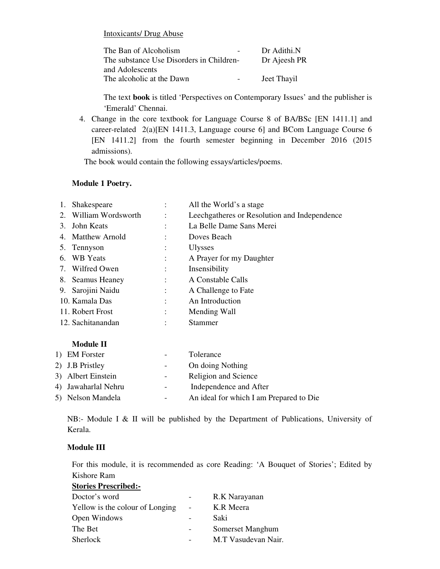Intoxicants/ Drug Abuse

| The Ban of Alcoholism                    | $\sim$ . | Dr Adithi.N  |
|------------------------------------------|----------|--------------|
| The substance Use Disorders in Children- |          | Dr Ajeesh PR |
| and Adolescents                          |          |              |
| The alcoholic at the Dawn                | $\sim$   | Jeet Thayil  |

The text **book** is titled 'Perspectives on Contemporary Issues' and the publisher is 'Emerald' Chennai.

4. Change in the core textbook for Language Course 8 of BA/BSc [EN 1411.1] and career-related 2(a)[EN 1411.3, Language course 6] and BCom Language Course 6 [EN 1411.2] from the fourth semester beginning in December 2016 (2015 admissions).

The book would contain the following essays/articles/poems.

# **Module 1 Poetry.**

| 1. Shakespeare        |                | All the World's a stage                      |
|-----------------------|----------------|----------------------------------------------|
| 2. William Wordsworth | $\ddot{\cdot}$ | Leechgatheres or Resolution and Independence |
| 3. John Keats         | ٠              | La Belle Dame Sans Merei                     |
| 4. Matthew Arnold     |                | Doves Beach                                  |
| 5. Tennyson           |                | <b>Ulysses</b>                               |
| 6. WB Yeats           |                | A Prayer for my Daughter                     |
| 7. Wilfred Owen       |                | Insensibility                                |
| 8. Seamus Heaney      |                | A Constable Calls                            |
| 9. Sarojini Naidu     |                | A Challenge to Fate                          |
| 10. Kamala Das        |                | An Introduction                              |
| 11. Robert Frost      |                | Mending Wall                                 |
| 12. Sachitanandan     |                | Stammer                                      |
|                       |                |                                              |

# **Module II**

| 1) EM Forster       |                          | Tolerance                               |
|---------------------|--------------------------|-----------------------------------------|
| 2) J.B Pristley     | $\sim$ 100 $\mu$         | On doing Nothing                        |
| 3) Albert Einstein  | $\overline{\phantom{a}}$ | Religion and Science                    |
| 4) Jawaharlal Nehru | $\overline{\phantom{0}}$ | Independence and After                  |
| 5) Nelson Mandela   | $\overline{\phantom{0}}$ | An ideal for which I am Prepared to Die |

NB:- Module I & II will be published by the Department of Publications, University of Kerala.

# **Module III**

For this module, it is recommended as core Reading: 'A Bouquet of Stories'; Edited by Kishore Ram

| <b>Stories Prescribed:-</b>     |                |                     |
|---------------------------------|----------------|---------------------|
| Doctor's word                   |                | R.K Narayanan       |
| Yellow is the colour of Longing | $\blacksquare$ | K.R Meera           |
| Open Windows                    |                | Saki                |
| The Bet                         |                | Somerset Manghum    |
| <b>Sherlock</b>                 |                | M.T Vasudevan Nair. |